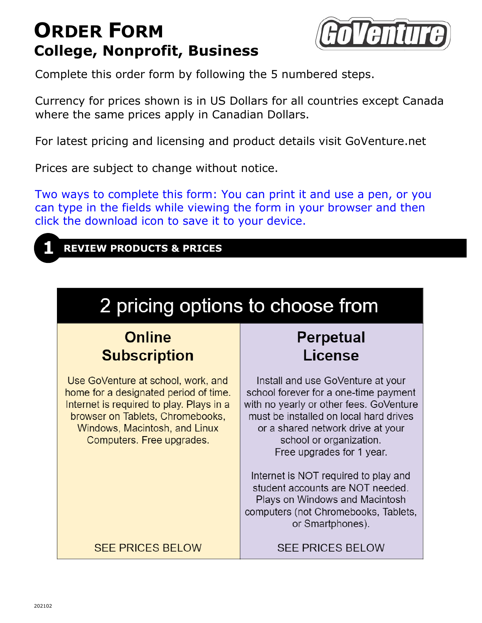# **ORDER FORM College, Nonprofit, Business**



Complete this order form by following the 5 numbered steps.

Currency for prices shown is in US Dollars for all countries except Canada where the same prices apply in Canadian Dollars.

For latest pricing and licensing and product details visit GoVenture.net

Prices are subject to change without notice.

Two ways to complete this form: You can print it and use a pen, or you can type in the fields while viewing the form in your browser and then click the download icon to save it to your device.



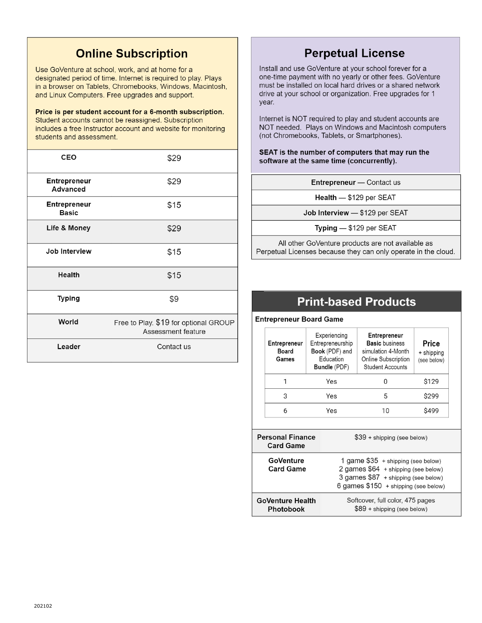# **Online Subscription**

Use GoVenture at school, work, and at home for a designated period of time. Internet is required to play. Plays in a browser on Tablets, Chromebooks, Windows, Macintosh, and Linux Computers. Free upgrades and support.

#### Price is per student account for a 6-month subscription.

Student accounts cannot be reassigned. Subscription includes a free Instructor account and website for monitoring students and assessment.

| CEO                             | \$29                                                        |  |
|---------------------------------|-------------------------------------------------------------|--|
| <b>Entrepreneur</b><br>Advanced | \$29                                                        |  |
| Entrepreneur<br><b>Basic</b>    | \$15                                                        |  |
| Life & Money                    | \$29                                                        |  |
| Job Interview                   | \$15                                                        |  |
| <b>Health</b>                   | \$15                                                        |  |
| <b>Typing</b>                   | \$9                                                         |  |
| World                           | Free to Play. \$19 for optional GROUP<br>Assessment feature |  |
| Leader                          | Contact us                                                  |  |

## **Perpetual License**

Install and use GoVenture at your school forever for a one-time payment with no yearly or other fees. GoVenture must be installed on local hard drives or a shared network drive at your school or organization. Free upgrades for 1 year.

Internet is NOT required to play and student accounts are NOT needed. Plays on Windows and Macintosh computers (not Chromebooks, Tablets, or Smartphones).

SEAT is the number of computers that may run the software at the same time (concurrently).

Entrepreneur - Contact us

Health - \$129 per SEAT

Job Interview - \$129 per SEAT

Typing  $-$  \$129 per SEAT

All other GoVenture products are not available as Perpetual Licenses because they can only operate in the cloud.

### **Print-based Products**

**Entrepreneur Board Game** 

| Entrepreneur<br>Board<br>Games              | Experiencing<br>Entrepreneurship<br>Book (PDF) and<br>Education<br><b>Bundle</b> (PDF)                                                                    | Entrepreneur<br><b>Basic</b> business<br>simulation 4-Month<br>Online Subscription<br><b>Student Accounts</b> | Price<br>+ shipping<br>(see below) |
|---------------------------------------------|-----------------------------------------------------------------------------------------------------------------------------------------------------------|---------------------------------------------------------------------------------------------------------------|------------------------------------|
| 1                                           | Yes                                                                                                                                                       | O                                                                                                             | \$129                              |
| 3                                           | Yes                                                                                                                                                       | 5                                                                                                             | \$299                              |
| 6                                           | Yes                                                                                                                                                       | 10                                                                                                            | <b>\$499</b>                       |
|                                             |                                                                                                                                                           |                                                                                                               |                                    |
| <b>Personal Finance</b><br><b>Card Game</b> | $$39 + shipping$ (see below)                                                                                                                              |                                                                                                               |                                    |
| GoVenture<br><b>Card Game</b>               | 1 game \$35 + shipping (see below)<br>2 games \$64 + shipping (see below)<br>3 games \$87 + shipping (see below)<br>6 games $$150 + shipping$ (see below) |                                                                                                               |                                    |
| <b>GoVenture Health</b><br>Photobook        | Softcover, full color, 475 pages<br>$$89 + shipping$ (see below)                                                                                          |                                                                                                               |                                    |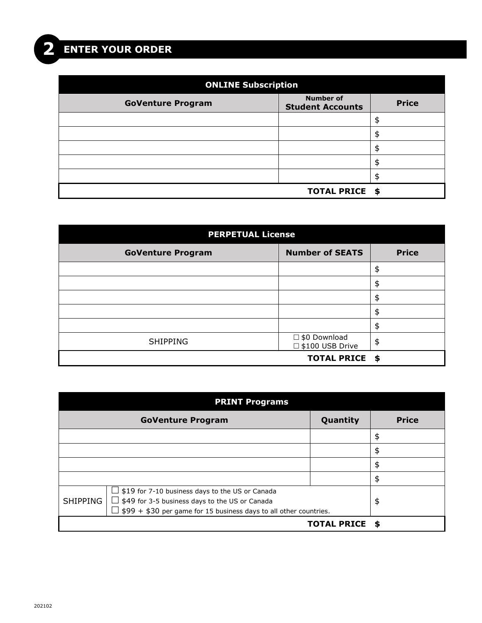| <b>ONLINE Subscription</b> |                                             |              |  |
|----------------------------|---------------------------------------------|--------------|--|
| <b>GoVenture Program</b>   | <b>Number of</b><br><b>Student Accounts</b> | <b>Price</b> |  |
|                            |                                             | \$           |  |
|                            |                                             | \$           |  |
|                            |                                             | \$           |  |
|                            |                                             | \$           |  |
|                            |                                             | \$           |  |
|                            | TOTAL PRICE \$                              |              |  |

| <b>PERPETUAL License</b> |                                             |              |  |
|--------------------------|---------------------------------------------|--------------|--|
| <b>GoVenture Program</b> | <b>Number of SEATS</b>                      | <b>Price</b> |  |
|                          |                                             | \$           |  |
|                          |                                             | \$           |  |
|                          |                                             | \$           |  |
|                          |                                             | \$           |  |
|                          |                                             | \$           |  |
| <b>SHIPPING</b>          | $\square$ \$0 Download<br>□ \$100 USB Drive | \$           |  |
|                          | <b>TOTAL PRICE \$</b>                       |              |  |

| <b>PRINT Programs</b>                                                                                                                                                                                           |                          |                    |              |
|-----------------------------------------------------------------------------------------------------------------------------------------------------------------------------------------------------------------|--------------------------|--------------------|--------------|
|                                                                                                                                                                                                                 | <b>GoVenture Program</b> | Quantity           | <b>Price</b> |
|                                                                                                                                                                                                                 |                          |                    | \$           |
|                                                                                                                                                                                                                 |                          |                    | \$           |
|                                                                                                                                                                                                                 |                          |                    | \$           |
|                                                                                                                                                                                                                 |                          |                    | \$           |
| $\Box$ \$19 for 7-10 business days to the US or Canada<br><b>SHIPPING</b><br>$\Box$ \$49 for 3-5 business days to the US or Canada<br>$\perp$ \$99 + \$30 per game for 15 business days to all other countries. |                          | \$                 |              |
|                                                                                                                                                                                                                 |                          | <b>TOTAL PRICE</b> | S            |